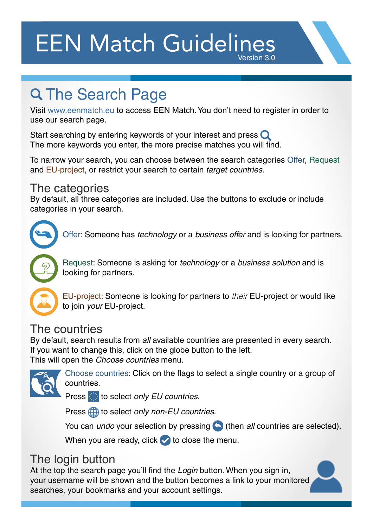## EEN Match Guidelines Version 3.0

# **Q The Search Page**

Visit www.eenmatch.eu to access EEN Match. You don't need to register in order to use our search page.

Start searching by entering keywords of your interest and press  $\bigcirc$ The more keywords you enter, the more precise matches you will find.

To narrow your search, you can choose between the search categories Offer, Request and EU-project, or restrict your search to certain *target countries*.

#### The categories

By default, all three categories are included. Use the buttons to exclude or include categories in your search.



Offer: Someone has *technology* or a *business offer* and is looking for partners.



Request: Someone is asking for *technology* or a *business solution* and is looking for partners.



EU-project: Someone is looking for partners to *their* EU-project or would like to join *your* EU-project.

#### The countries

By default, search results from *all* available countries are presented in every search. If you want to change this, click on the globe button to the left. This will open the *Choose countries* menu.



Choose countries: Click on the flags to select a single country or a group of countries.

Press to select *only EU countries*.

Press **th** to select *only non-EU countries*.

You can *undo* your selection by pressing (a) (then *all* countries are selected).

When you are ready, click  $\blacktriangledown$  to close the menu.

### The login button

At the top the search page you'll find the *Login* button. When you sign in, your username will be shown and the button becomes a link to your monitored searches, your bookmarks and your account settings.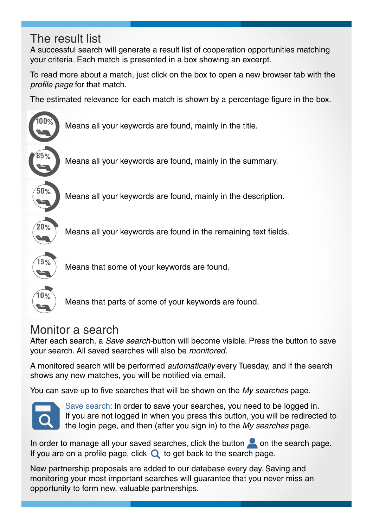### The result list

A successful search will generate a result list of cooperation opportunities matching your criteria. Each match is presented in a box showing an excerpt.

To read more about a match, just click on the box to open a new browser tab with the *profile page* for that match.

The estimated relevance for each match is shown by a percentage figure in the box.



Means all your keywords are found, mainly in the summary.

Means all your keywords are found, mainly in the description.

Means all your keywords are found in the remaining text fields.



Means that some of your keywords are found.



Means that parts of some of your keywords are found.

### Monitor a search

After each search, a *Save search-*button will become visible. Press the button to save your search. All saved searches will also be *monitored.*

A monitored search will be performed *automatically* every Tuesday, and if the search shows any new matches, you will be notified via email.

You can save up to five searches that will be shown on the *My searches* page.



Save search: In order to save your searches, you need to be logged in. If you are not logged in when you press this button, you will be redirected to the login page, and then (after you sign in) to the *My searches* page.

In order to manage all your saved searches, click the button  $\sim$  on the search page. If you are on a profile page, click  $\bf{Q}$  to get back to the search page.

New partnership proposals are added to our database every day. Saving and monitoring your most important searches will guarantee that you never miss an opportunity to form new, valuable partnerships.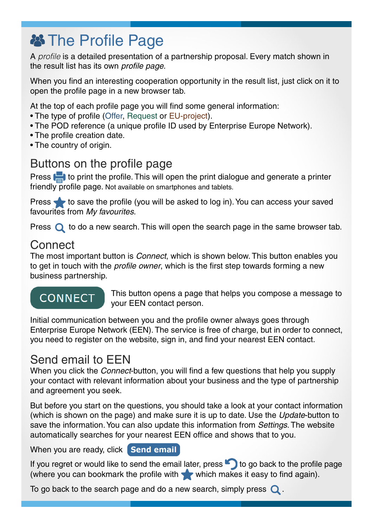## **谷 The Profile Page**

A *profile* is a detailed presentation of a partnership proposal. Every match shown in the result list has its own *profile page.*

When you find an interesting cooperation opportunity in the result list, just click on it to open the profile page in a new browser tab.

At the top of each profile page you will find some general information:

- The type of profile (Offer, Request or EU-project).
- The POD reference (a unique profile ID used by Enterprise Europe Network).
- The profile creation date.
- The country of origin.

### Buttons on the profile page

Press **the l** to print the profile. This will open the print dialogue and generate a printer friendly profile page. Not available on smartphones and tablets.

Press  $\blacklozenge$  to save the profile (you will be asked to log in). You can access your saved favourites from *My favourites*.

Press  $\bigcirc$  to do a new search. This will open the search page in the same browser tab.

#### **Connect**

The most important button is *Connect*, which is shown below. This button enables you to get in touch with the *profile owner*, which is the first step towards forming a new business partnership.

### **CONNECT**

This button opens a page that helps you compose a message to your EEN contact person.

Initial communication between you and the profile owner always goes through Enterprise Europe Network (EEN). The service is free of charge, but in order to connect, you need to register on the website, sign in, and find your nearest EEN contact.

#### Send email to EEN

When you click the *Connect*-button, you will find a few questions that help you supply your contact with relevant information about your business and the type of partnership and agreement you seek.

But before you start on the questions, you should take a look at your contact information (which is shown on the page) and make sure it is up to date. Use the *Update*-button to save the information. You can also update this information from *Settings*. The website automatically searches for your nearest EEN office and shows that to you.

When you are ready, click **Send email** 

If you regret or would like to send the email later, press  $\bullet$  to go back to the profile page (where you can bookmark the profile with which makes it easy to find again).

To go back to the search page and do a new search, simply press  $\mathbf Q$ .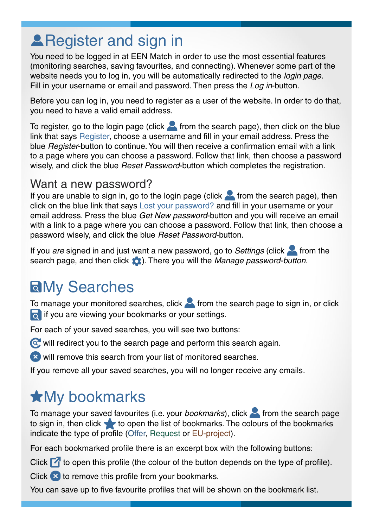# **A** Register and sign in

You need to be logged in at EEN Match in order to use the most essential features (monitoring searches, saving favourites, and connecting). Whenever some part of the website needs you to log in, you will be automatically redirected to the *login page*. Fill in your username or email and password. Then press the *Log in*-button.

Before you can log in, you need to register as a user of the website. In order to do that, you need to have a valid email address.

To register, go to the login page (click  $\sim$  from the search page), then click on the blue link that says Register, choose a username and fill in your email address. Press the blue *Register*-button to continue. You will then receive a confirmation email with a link to a page where you can choose a password. Follow that link, then choose a password wisely, and click the blue *Reset Password*-button which completes the registration.

#### Want a new password?

If you are unable to sign in, go to the login page (click  $\sim$  from the search page), then click on the blue link that says Lost your password? and fill in your username or your email address. Press the blue *Get New password*-button and you will receive an email with a link to a page where you can choose a password. Follow that link, then choose a password wisely, and click the blue *Reset Password*-button.

If you *are* signed in and just want a new password, go to *Settings* (click **follom** the search page, and then click **(b)**. There you will the *Manage password-button.* 

# **aMy Searches**

To manage your monitored searches, click  $\blacktriangle$  from the search page to sign in, or click **if** you are viewing your bookmarks or your settings.

For each of your saved searches, you will see two buttons:

- $\circled{c}$  will redirect you to the search page and perform this search again.
- **W** will remove this search from your list of monitored searches.
- If you remove all your saved searches, you will no longer receive any emails*.*

# **\*My bookmarks**

To manage your saved favourites (i.e. your *bookmarks*), click **from** the search page to sign in, then click  $\bullet$  to open the list of bookmarks. The colours of the bookmarks indicate the type of profile (Offer, Request or EU-project).

For each bookmarked profile there is an excerpt box with the following buttons:

Click  $\blacksquare$  to open this profile (the colour of the button depends on the type of profile).

Click  $\star$  to remove this profile from your bookmarks.

You can save up to five favourite profiles that will be shown on the bookmark list.